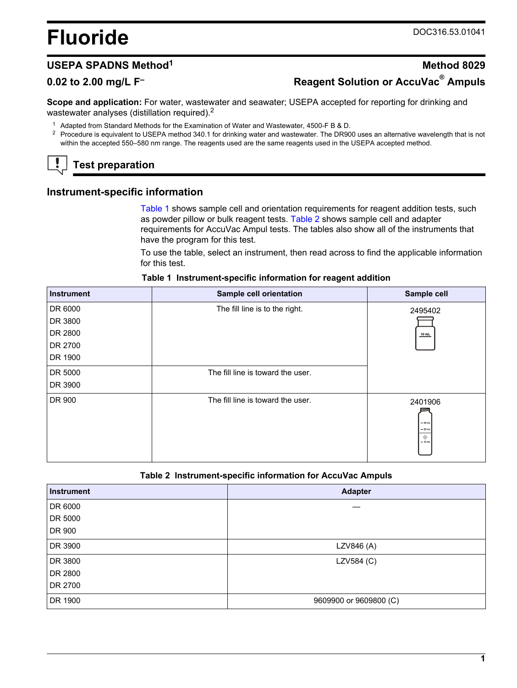# <span id="page-0-0"></span>**Fluoride** DOC316.53.01041

# **USEPA SPADNS Method<sup>1</sup> <b>Method** 8029 **0.02 to 2.00 mg/L F– Reagent Solution or AccuVac® Ampuls**

**Scope and application:** For water, wastewater and seawater; USEPA accepted for reporting for drinking and wastewater analyses (distillation required).<sup>2</sup>

- <sup>1</sup> Adapted from Standard Methods for the Examination of Water and Wastewater, 4500-F B & D.
- <sup>2</sup> Procedure is equivalent to USEPA method 340.1 for drinking water and wastewater. The DR900 uses an alternative wavelength that is not within the accepted 550–580 nm range. The reagents used are the same reagents used in the USEPA accepted method.

# **Test preparation**

# **Instrument-specific information**

Table 1 shows sample cell and orientation requirements for reagent addition tests, such as powder pillow or bulk reagent tests. Table 2 shows sample cell and adapter requirements for AccuVac Ampul tests. The tables also show all of the instruments that have the program for this test.

To use the table, select an instrument, then read across to find the applicable information for this test.

| <b>Instrument</b> | Sample cell orientation           | Sample cell                                        |
|-------------------|-----------------------------------|----------------------------------------------------|
| DR 6000           | The fill line is to the right.    | 2495402                                            |
| DR 3800           |                                   |                                                    |
| DR 2800           |                                   | 10 mL                                              |
| DR 2700           |                                   |                                                    |
| DR 1900           |                                   |                                                    |
| DR 5000           | The fill line is toward the user. |                                                    |
| DR 3900           |                                   |                                                    |
| DR 900            | The fill line is toward the user. | 2401906<br>$-25$ mL<br>$= 20$ mL<br>۰<br>$= 10$ mL |

#### **Table 1 Instrument-specific information for reagent addition**

#### **Table 2 Instrument-specific information for AccuVac Ampuls**

| Instrument | <b>Adapter</b>         |
|------------|------------------------|
| DR 6000    |                        |
| DR 5000    |                        |
| DR 900     |                        |
| DR 3900    | LZV846 (A)             |
| DR 3800    | LZV584 (C)             |
| DR 2800    |                        |
| DR 2700    |                        |
| DR 1900    | 9609900 or 9609800 (C) |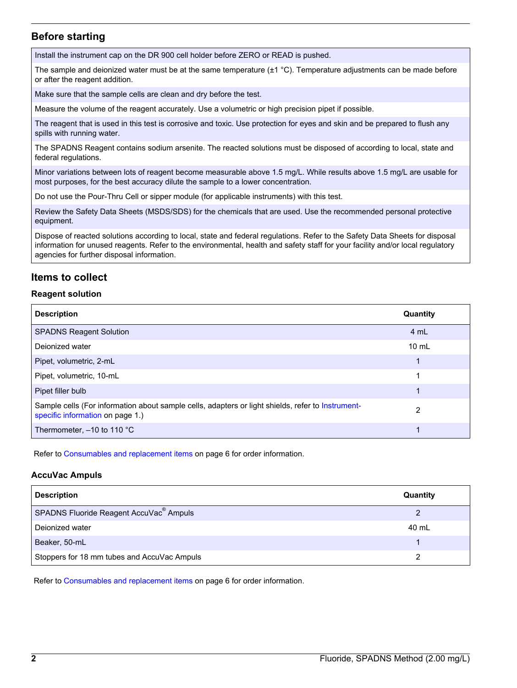# **Before starting**

Install the instrument cap on the DR 900 cell holder before ZERO or READ is pushed.

The sample and deionized water must be at the same temperature  $(\pm 1 \degree C)$ . Temperature adjustments can be made before or after the reagent addition.

Make sure that the sample cells are clean and dry before the test.

Measure the volume of the reagent accurately. Use a volumetric or high precision pipet if possible.

The reagent that is used in this test is corrosive and toxic. Use protection for eyes and skin and be prepared to flush any spills with running water.

The SPADNS Reagent contains sodium arsenite. The reacted solutions must be disposed of according to local, state and federal regulations.

Minor variations between lots of reagent become measurable above 1.5 mg/L. While results above 1.5 mg/L are usable for most purposes, for the best accuracy dilute the sample to a lower concentration.

Do not use the Pour-Thru Cell or sipper module (for applicable instruments) with this test.

Review the Safety Data Sheets (MSDS/SDS) for the chemicals that are used. Use the recommended personal protective equipment.

Dispose of reacted solutions according to local, state and federal regulations. Refer to the Safety Data Sheets for disposal information for unused reagents. Refer to the environmental, health and safety staff for your facility and/or local regulatory agencies for further disposal information.

# **Items to collect**

#### **Reagent solution**

| <b>Description</b>                                                                                                                    | Quantity        |
|---------------------------------------------------------------------------------------------------------------------------------------|-----------------|
| <b>SPADNS Reagent Solution</b>                                                                                                        | 4 mL            |
| Dejonized water                                                                                                                       | $10 \text{ mL}$ |
| Pipet, volumetric, 2-mL                                                                                                               | 1               |
| Pipet, volumetric, 10-mL                                                                                                              |                 |
| Pipet filler bulb                                                                                                                     |                 |
| Sample cells (For information about sample cells, adapters or light shields, refer to Instrument-<br>specific information on page 1.) | 2               |
| Thermometer, $-10$ to 110 $^{\circ}$ C                                                                                                |                 |

Refer to [Consumables and replacement items](#page-5-0) on page 6 for order information.

#### **AccuVac Ampuls**

| <b>Description</b>                                  | Quantity |
|-----------------------------------------------------|----------|
| SPADNS Fluoride Reagent AccuVac <sup>®</sup> Ampuls | 2        |
| Deionized water                                     | 40 mL    |
| Beaker, 50-mL                                       |          |
| Stoppers for 18 mm tubes and AccuVac Ampuls         |          |

Refer to [Consumables and replacement items](#page-5-0) on page 6 for order information.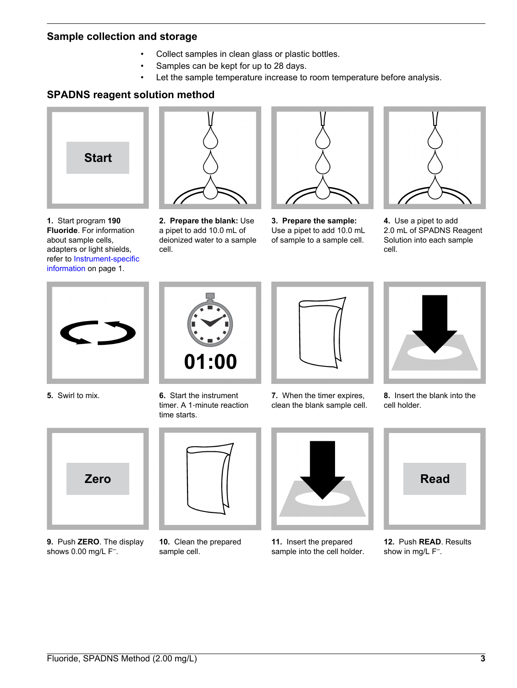### **Sample collection and storage**

- Collect samples in clean glass or plastic bottles.
- Samples can be kept for up to 28 days.
- Let the sample temperature increase to room temperature before analysis.

# **SPADNS reagent solution method**



**1.** Start program **190 Fluoride**. For information about sample cells, adapters or light shields, refer to [Instrument-specific](#page-0-0) [information](#page-0-0) on page 1.



**2. Prepare the blank:** Use a pipet to add 10.0 mL of deionized water to a sample cell.



**3. Prepare the sample:** Use a pipet to add 10.0 mL of sample to a sample cell.



**4.** Use a pipet to add 2.0 mL of SPADNS Reagent Solution into each sample cell.





**5.** Swirl to mix. **6.** Start the instrument timer. A 1‑minute reaction time starts.



**7.** When the timer expires, clean the blank sample cell.



**8.** Insert the blank into the cell holder.



**9.** Push **ZERO**. The display shows 0.00 mg/L F<sup>-</sup>.



**10.** Clean the prepared sample cell.



**11.** Insert the prepared sample into the cell holder.



**12.** Push **READ**. Results show in mg/L F<sup>-</sup>.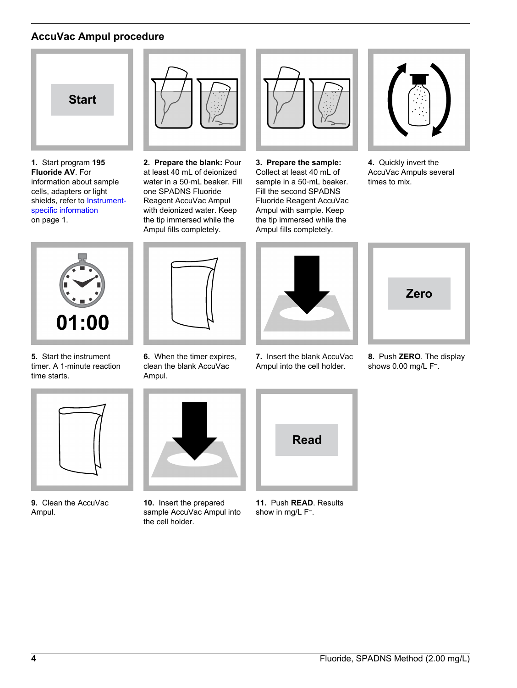# **AccuVac Ampul procedure**



**1.** Start program **195 Fluoride AV**. For information about sample cells, adapters or light shields, refer to [Instrument](#page-0-0)[specific information](#page-0-0) on page 1.



**2. Prepare the blank:** Pour at least 40 mL of deionized water in a 50‑mL beaker. Fill one SPADNS Fluoride Reagent AccuVac Ampul with deionized water. Keep the tip immersed while the Ampul fills completely.



**3. Prepare the sample:** Collect at least 40 mL of sample in a 50-mL beaker. Fill the second SPADNS Fluoride Reagent AccuVac Ampul with sample. Keep the tip immersed while the Ampul fills completely.



**4.** Quickly invert the AccuVac Ampuls several times to mix.



**5.** Start the instrument timer. A 1‑minute reaction time starts.



**9.** Clean the AccuVac Ampul.



**6.** When the timer expires, clean the blank AccuVac Ampul.



**10.** Insert the prepared sample AccuVac Ampul into the cell holder.



**7.** Insert the blank AccuVac Ampul into the cell holder.



**11.** Push **READ**. Results show in mg/L F<sup>-</sup>.



**8.** Push **ZERO**. The display shows 0.00 mg/L F– .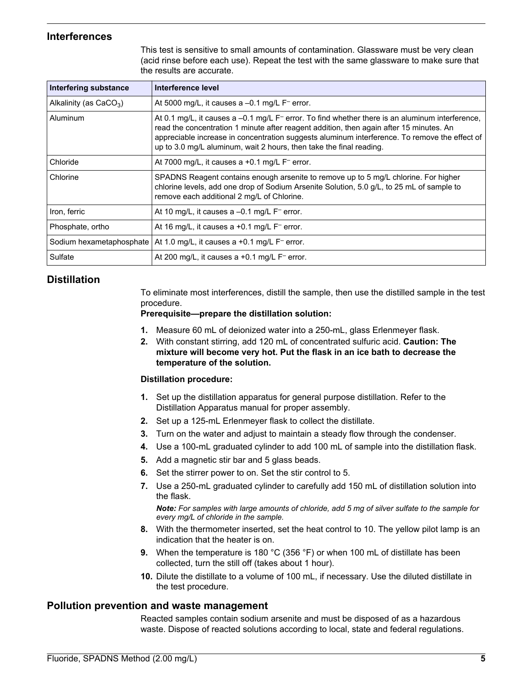# **Interferences**

This test is sensitive to small amounts of contamination. Glassware must be very clean (acid rinse before each use). Repeat the test with the same glassware to make sure that the results are accurate.

| Interfering substance    | Interference level                                                                                                                                                                                                                                                                                                                                                                            |
|--------------------------|-----------------------------------------------------------------------------------------------------------------------------------------------------------------------------------------------------------------------------------------------------------------------------------------------------------------------------------------------------------------------------------------------|
| Alkalinity (as $CaCO3$ ) | At 5000 mg/L, it causes a $-0.1$ mg/L $F^-$ error.                                                                                                                                                                                                                                                                                                                                            |
| Aluminum                 | At 0.1 mg/L, it causes a $-0.1$ mg/L F <sup><math>-</math></sup> error. To find whether there is an aluminum interference,<br>read the concentration 1 minute after reagent addition, then again after 15 minutes. An<br>appreciable increase in concentration suggests aluminum interference. To remove the effect of<br>up to 3.0 mg/L aluminum, wait 2 hours, then take the final reading. |
| Chloride                 | At 7000 mg/L, it causes a +0.1 mg/L $F^-$ error.                                                                                                                                                                                                                                                                                                                                              |
| Chlorine                 | SPADNS Reagent contains enough arsenite to remove up to 5 mg/L chlorine. For higher<br>chlorine levels, add one drop of Sodium Arsenite Solution, 5.0 g/L, to 25 mL of sample to<br>remove each additional 2 mg/L of Chlorine.                                                                                                                                                                |
| Iron, ferric             | At 10 mg/L, it causes a -0.1 mg/L F <sup>-</sup> error.                                                                                                                                                                                                                                                                                                                                       |
| Phosphate, ortho         | At 16 mg/L, it causes a +0.1 mg/L $F^-$ error.                                                                                                                                                                                                                                                                                                                                                |
| Sodium hexametaphosphate | At 1.0 mg/L, it causes a $+0.1$ mg/L $F^-$ error.                                                                                                                                                                                                                                                                                                                                             |
| Sulfate                  | At 200 mg/L, it causes a $+0.1$ mg/L $F^-$ error.                                                                                                                                                                                                                                                                                                                                             |

# **Distillation**

To eliminate most interferences, distill the sample, then use the distilled sample in the test procedure.

#### **Prerequisite—prepare the distillation solution:**

- **1.** Measure 60 mL of deionized water into a 250-mL, glass Erlenmeyer flask.
- **2.** With constant stirring, add 120 mL of concentrated sulfuric acid. **Caution: The mixture will become very hot. Put the flask in an ice bath to decrease the temperature of the solution.**

#### **Distillation procedure:**

- **1.** Set up the distillation apparatus for general purpose distillation. Refer to the Distillation Apparatus manual for proper assembly.
- **2.** Set up a 125-mL Erlenmeyer flask to collect the distillate.
- **3.** Turn on the water and adjust to maintain a steady flow through the condenser.
- **4.** Use a 100-mL graduated cylinder to add 100 mL of sample into the distillation flask.
- **5.** Add a magnetic stir bar and 5 glass beads.
- **6.** Set the stirrer power to on. Set the stir control to 5.
- **7.** Use a 250-mL graduated cylinder to carefully add 150 mL of distillation solution into the flask.

*Note: For samples with large amounts of chloride, add 5 mg of silver sulfate to the sample for every mg/L of chloride in the sample.*

- **8.** With the thermometer inserted, set the heat control to 10. The yellow pilot lamp is an indication that the heater is on.
- **9.** When the temperature is 180 °C (356 °F) or when 100 mL of distillate has been collected, turn the still off (takes about 1 hour).
- **10.** Dilute the distillate to a volume of 100 mL, if necessary. Use the diluted distillate in the test procedure.

### **Pollution prevention and waste management**

Reacted samples contain sodium arsenite and must be disposed of as a hazardous waste. Dispose of reacted solutions according to local, state and federal regulations.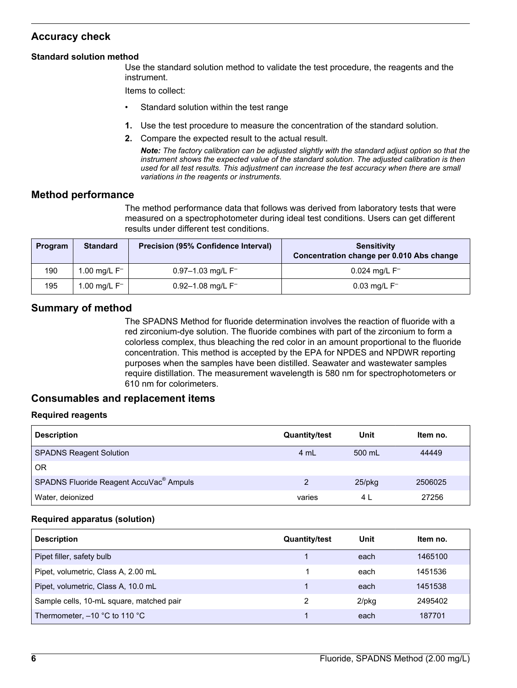# <span id="page-5-0"></span>**Accuracy check**

#### **Standard solution method**

Use the standard solution method to validate the test procedure, the reagents and the instrument.

Items to collect:

- Standard solution within the test range
- **1.** Use the test procedure to measure the concentration of the standard solution.
- **2.** Compare the expected result to the actual result.

*Note: The factory calibration can be adjusted slightly with the standard adjust option so that the instrument shows the expected value of the standard solution. The adjusted calibration is then used for all test results. This adjustment can increase the test accuracy when there are small variations in the reagents or instruments.*

### **Method performance**

The method performance data that follows was derived from laboratory tests that were measured on a spectrophotometer during ideal test conditions. Users can get different results under different test conditions.

| Program | <b>Standard</b> | <b>Precision (95% Confidence Interval)</b> | <b>Sensitivity</b><br>Concentration change per 0.010 Abs change |
|---------|-----------------|--------------------------------------------|-----------------------------------------------------------------|
| 190     | 1.00 mg/L $F^-$ | $0.97 - 1.03$ mg/L F <sup>-</sup>          | $0.024$ mg/L $F^-$                                              |
| 195     | 1.00 mg/L $F^-$ | $0.92 - 1.08$ mg/L F <sup>-</sup>          | $0.03 \,\mathrm{mq/L}$ F <sup>-1</sup>                          |

# **Summary of method**

The SPADNS Method for fluoride determination involves the reaction of fluoride with a red zirconium-dye solution. The fluoride combines with part of the zirconium to form a colorless complex, thus bleaching the red color in an amount proportional to the fluoride concentration. This method is accepted by the EPA for NPDES and NPDWR reporting purposes when the samples have been distilled. Seawater and wastewater samples require distillation. The measurement wavelength is 580 nm for spectrophotometers or 610 nm for colorimeters.

# **Consumables and replacement items**

#### **Required reagents**

| <b>Description</b>                                  | <b>Quantity/test</b> | Unit      | Item no. |
|-----------------------------------------------------|----------------------|-----------|----------|
| <b>SPADNS Reagent Solution</b>                      | 4 mL                 | 500 mL    | 44449    |
| 0R                                                  |                      |           |          |
| SPADNS Fluoride Reagent AccuVac <sup>®</sup> Ampuls | 2                    | $25$ /pkq | 2506025  |
| Water, deionized                                    | varies               | 4 I       | 27256    |

#### **Required apparatus (solution)**

| <b>Description</b>                       | <b>Quantity/test</b> | Unit     | Item no. |
|------------------------------------------|----------------------|----------|----------|
| Pipet filler, safety bulb                |                      | each     | 1465100  |
| Pipet, volumetric, Class A, 2.00 mL      |                      | each     | 1451536  |
| Pipet, volumetric, Class A, 10.0 mL      |                      | each     | 1451538  |
| Sample cells, 10-mL square, matched pair |                      | $2$ /pkg | 2495402  |
| Thermometer, $-10$ °C to 110 °C          |                      | each     | 187701   |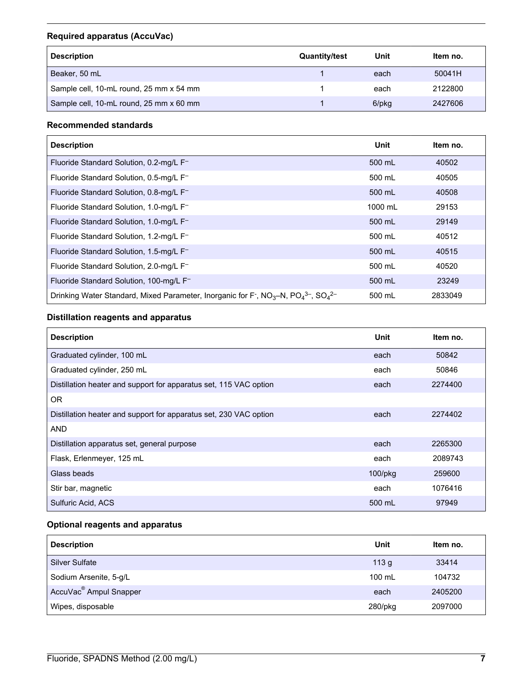# **Required apparatus (AccuVac)**

| <b>Description</b>                      | <b>Quantity/test</b> | Unit  | Item no. |
|-----------------------------------------|----------------------|-------|----------|
| Beaker, 50 mL                           |                      | each  | 50041H   |
| Sample cell, 10-mL round, 25 mm x 54 mm |                      | each  | 2122800  |
| Sample cell, 10-mL round, 25 mm x 60 mm |                      | 6/pkg | 2427606  |

### **Recommended standards**

| <b>Description</b>                                                                                                                                         | Unit    | Item no. |
|------------------------------------------------------------------------------------------------------------------------------------------------------------|---------|----------|
| Fluoride Standard Solution, 0.2-mg/L F-                                                                                                                    | 500 mL  | 40502    |
| Fluoride Standard Solution, 0.5-mg/L F-                                                                                                                    | 500 mL  | 40505    |
| Fluoride Standard Solution, 0.8-mg/L F-                                                                                                                    | 500 mL  | 40508    |
| Fluoride Standard Solution, 1.0-mg/L F-                                                                                                                    | 1000 mL | 29153    |
| Fluoride Standard Solution, 1.0-mg/L F-                                                                                                                    | 500 mL  | 29149    |
| Fluoride Standard Solution, 1.2-mg/L F-                                                                                                                    | 500 mL  | 40512    |
| Fluoride Standard Solution, 1.5-mg/L F <sup>-</sup>                                                                                                        | 500 mL  | 40515    |
| Fluoride Standard Solution, 2.0-mg/L F-                                                                                                                    | 500 mL  | 40520    |
| Fluoride Standard Solution, 100-mg/L F-                                                                                                                    | 500 mL  | 23249    |
| Drinking Water Standard, Mixed Parameter, Inorganic for F <sup>-</sup> , NO <sub>3</sub> -N, PO <sub>4</sub> <sup>3-</sup> , SO <sub>4</sub> <sup>2-</sup> | 500 mL  | 2833049  |

# **Distillation reagents and apparatus**

| <b>Description</b>                                                | Unit       | Item no. |
|-------------------------------------------------------------------|------------|----------|
| Graduated cylinder, 100 mL                                        | each       | 50842    |
| Graduated cylinder, 250 mL                                        | each       | 50846    |
| Distillation heater and support for apparatus set, 115 VAC option | each       | 2274400  |
| <b>OR</b>                                                         |            |          |
| Distillation heater and support for apparatus set, 230 VAC option | each       | 2274402  |
| <b>AND</b>                                                        |            |          |
| Distillation apparatus set, general purpose                       | each       | 2265300  |
| Flask, Erlenmeyer, 125 mL                                         | each       | 2089743  |
| Glass beads                                                       | $100$ /pkg | 259600   |
| Stir bar, magnetic                                                | each       | 1076416  |
| Sulfuric Acid, ACS                                                | 500 mL     | 97949    |

# **Optional reagents and apparatus**

| <b>Description</b>                 | Unit             | Item no. |
|------------------------------------|------------------|----------|
| <b>Silver Sulfate</b>              | 113 <sub>g</sub> | 33414    |
| Sodium Arsenite, 5-g/L             | 100 mL           | 104732   |
| AccuVac <sup>®</sup> Ampul Snapper | each             | 2405200  |
| Wipes, disposable                  | 280/pkg          | 2097000  |